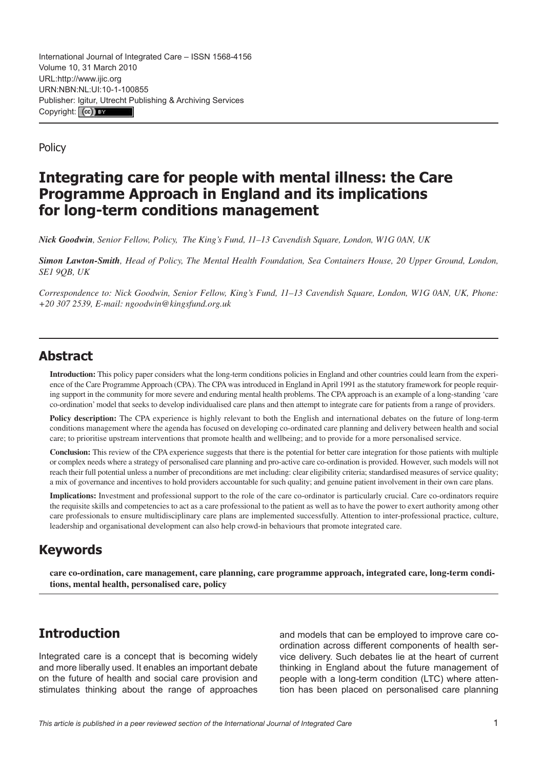International Journal of Integrated Care – ISSN 1568-4156 Volume 10, 31 March 2010 URL[:http://www.ijic.org](http://www.ijic.org) URN:NBN:NL:UI:10-1-100855 Publisher: [Igitur, Utrecht Pu](http://creativecommons.org/licenses/by/3.0/)blishing & Archiving Services Copyright: (cc) EX

**Policy** 

# **Integrating care for people with mental illness: the Care Programme Approach in England and its implications for long-term conditions management**

*Nick Goodwin, Senior Fellow, Policy, The King's Fund, 11–13 Cavendish Square, London, W1G 0AN, UK*

*Simon Lawton-Smith, Head of Policy, The Mental Health Foundation, Sea Containers House, 20 Upper Ground, London, SE1 9QB, UK*

*Correspondence to: Nick Goodwin, Senior Fellow, King's Fund, 11–13 Cavendish Square, London, W1G 0AN, UK, Phone: +20 307 2539, E-mail: [ngoodwin@kingsfund.org.uk](mailto:ngoodwin@kingsfund.org.uk)*

## **Abstract**

**Introduction:** This policy paper considers what the long-term conditions policies in England and other countries could learn from the experience of the Care Programme Approach (CPA). The CPA was introduced in England in April 1991 as the statutory framework for people requiring support in the community for more severe and enduring mental health problems. The CPA approach is an example of a long-standing 'care co-ordination' model that seeks to develop individualised care plans and then attempt to integrate care for patients from a range of providers.

**Policy description:** The CPA experience is highly relevant to both the English and international debates on the future of long-term conditions management where the agenda has focused on developing co-ordinated care planning and delivery between health and social care; to prioritise upstream interventions that promote health and wellbeing; and to provide for a more personalised service.

**Conclusion:** This review of the CPA experience suggests that there is the potential for better care integration for those patients with multiple or complex needs where a strategy of personalised care planning and pro-active care co-ordination is provided. However, such models will not reach their full potential unless a number of preconditions are met including: clear eligibility criteria; standardised measures of service quality; a mix of governance and incentives to hold providers accountable for such quality; and genuine patient involvement in their own care plans.

**Implications:** Investment and professional support to the role of the care co-ordinator is particularly crucial. Care co-ordinators require the requisite skills and competencies to act as a care professional to the patient as well as to have the power to exert authority among other care professionals to ensure multidisciplinary care plans are implemented successfully. Attention to inter-professional practice, culture, leadership and organisational development can also help crowd-in behaviours that promote integrated care.

## **Keywords**

**care co-ordination, care management, care planning, care programme approach, integrated care, long-term conditions, mental health, personalised care, policy**

## **Introduction**

Integrated care is a concept that is becoming widely and more liberally used. It enables an important debate on the future of health and social care provision and stimulates thinking about the range of approaches and models that can be employed to improve care coordination across different components of health service delivery. Such debates lie at the heart of current thinking in England about the future management of people with a long-term condition (LTC) where attention has been placed on personalised care planning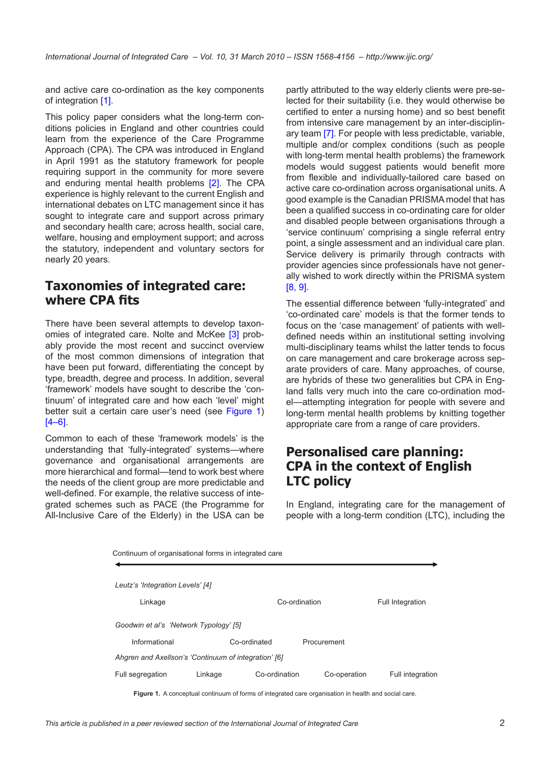and active care co-ordination as the key components of integration [[1\]](#page-7-0).

This policy paper considers what the long-term conditions policies in England and other countries could learn from the experience of the Care Programme Approach (CPA). The CPA was introduced in England in April 1991 as the statutory framework for people requiring support in the community for more severe and enduring mental health problems [[2](#page-7-0)]. The CPA experience is highly relevant to the current English and international debates on LTC management since it has sought to integrate care and support across primary and secondary health care; across health, social care, welfare, housing and employment support; and across the statutory, independent and voluntary sectors for nearly 20 years.

## **Taxonomies of integrated care: where CPA fits**

There have been several attempts to develop taxon-omies of integrated care. Nolte and McKee [\[3\]](#page-7-0) probably provide the most recent and succinct overview of the most common dimensions of integration that have been put forward, differentiating the concept by type, breadth, degree and process. In addition, several 'framework' models have sought to describe the 'continuum' of integrated care and how each 'level' might better suit a certain care user's need (see Figure 1)  $[4–6]$  $[4–6]$ .

Common to each of these 'framework models' is the understanding that 'fully-integrated' systems—where governance and organisational arrangements are more hierarchical and formal—tend to work best where the needs of the client group are more predictable and well-defined. For example, the relative success of integrated schemes such as PACE (the Programme for All-Inclusive Care of the Elderly) in the USA can be partly attributed to the way elderly clients were pre-selected for their suitability (i.e. they would otherwise be certified to enter a nursing home) and so best benefit from intensive care management by an inter-disciplinary team [[7\]](#page-8-0). For people with less predictable, variable, multiple and/or complex conditions (such as people with long-term mental health problems) the framework models would suggest patients would benefit more from flexible and individually-tailored care based on active care co-ordination across organisational units. A good example is the Canadian PRISMA model that has been a qualified success in co-ordinating care for older and disabled people between organisations through a 'service continuum' comprising a single referral entry point, a single assessment and an individual care plan. Service delivery is primarily through contracts with provider agencies since professionals have not generally wished to work directly within the PRISMA system [\[8, 9\]](#page-8-0).

The essential difference between 'fully-integrated' and 'co-ordinated care' models is that the former tends to focus on the 'case management' of patients with welldefined needs within an institutional setting involving multi-disciplinary teams whilst the latter tends to focus on care management and care brokerage across separate providers of care. Many approaches, of course, are hybrids of these two generalities but CPA in England falls very much into the care co-ordination model—attempting integration for people with severe and long-term mental health problems by knitting together appropriate care from a range of care providers.

## **Personalised care planning: CPA in the context of English LTC policy**

In England, integrating care for the management of people with a long-term condition (LTC), including the

| Continuum of organisational forms in integrated care |         |               |              |                         |
|------------------------------------------------------|---------|---------------|--------------|-------------------------|
| Leutz's 'Integration Levels' [4]                     |         |               |              |                         |
| Linkage                                              |         | Co-ordination |              | <b>Full Integration</b> |
| Goodwin et al's 'Network Typology' [5]               |         |               |              |                         |
| Informational                                        |         | Co-ordinated  | Procurement  |                         |
| Ahgren and Axellson's 'Continuum of integration' [6] |         |               |              |                         |
| Full segregation                                     | Linkage | Co-ordination | Co-operation | Full integration        |
|                                                      |         |               |              |                         |

Figure 1. A conceptual continuum of forms of integrated care organisation in health and social care.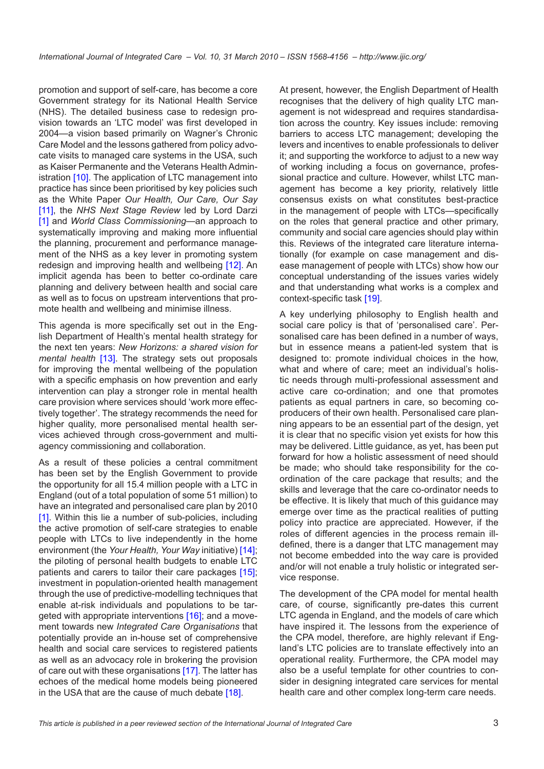promotion and support of self-care, has become a core Government strategy for its National Health Service (NHS). The detailed business case to redesign provision towards an 'LTC model' was first developed in 2004—a vision based primarily on Wagner's Chronic Care Model and the lessons gathered from policy advocate visits to managed care systems in the USA, such as Kaiser Permanente and the Veterans Health Administration [[10](#page-8-0)]. The application of LTC management into practice has since been prioritised by key policies such as the White Paper *Our Health, Our Care, Our Say* [\[11\]](#page-8-0), the *NHS Next Stage Review* led by Lord Darzi [\[1\]](#page-7-0) and *World Class Commissioning*—an approach to systematically improving and making more influential the planning, procurement and performance management of the NHS as a key lever in promoting system redesign and improving health and wellbeing [\[12](#page-8-0)]. An implicit agenda has been to better co-ordinate care planning and delivery between health and social care as well as to focus on upstream interventions that promote health and wellbeing and minimise illness.

This agenda is more specifically set out in the English Department of Health's mental health strategy for the next ten years: *New Horizons: a shared vision for mental health* [\[13](#page-8-0)]. The strategy sets out proposals for improving the mental wellbeing of the population with a specific emphasis on how prevention and early intervention can play a stronger role in mental health care provision where services should 'work more effectively together'. The strategy recommends the need for higher quality, more personalised mental health services achieved through cross-government and multiagency commissioning and collaboration.

As a result of these policies a central commitment has been set by the English Government to provide the opportunity for all 15.4 million people with a LTC in England (out of a total population of some 51 million) to have an integrated and personalised care plan by 2010 [\[1\]](#page-7-0). Within this lie a number of sub-policies, including the active promotion of self-care strategies to enable people with LTCs to live independently in the home environment (the *Your Health, Your Way* initiative) [\[14](#page-8-0)]; the piloting of personal health budgets to enable LTC patients and carers to tailor their care packages [\[15](#page-8-0)]; investment in population-oriented health management through the use of predictive-modelling techniques that enable at-risk individuals and populations to be targeted with appropriate interventions [[16\]](#page-8-0); and a movement towards new *Integrated Care Organisations* that potentially provide an in-house set of comprehensive health and social care services to registered patients as well as an advocacy role in brokering the provision of care out with these organisations [[17\]](#page-8-0). The latter has echoes of the medical home models being pioneered in the USA that are the cause of much debate [[18\]](#page-8-0).

At present, however, the English Department of Health recognises that the delivery of high quality LTC management is not widespread and requires standardisation across the country. Key issues include: removing barriers to access LTC management; developing the levers and incentives to enable professionals to deliver it; and supporting the workforce to adjust to a new way of working including a focus on governance, professional practice and culture. However, whilst LTC management has become a key priority, relatively little consensus exists on what constitutes best-practice in the management of people with LTCs—specifically on the roles that general practice and other primary, community and social care agencies should play within this. Reviews of the integrated care literature internationally (for example on case management and disease management of people with LTCs) show how our conceptual understanding of the issues varies widely and that understanding what works is a complex and context-specific task [[19\]](#page-8-0).

A key underlying philosophy to English health and social care policy is that of 'personalised care'. Personalised care has been defined in a number of ways, but in essence means a patient-led system that is designed to: promote individual choices in the how, what and where of care; meet an individual's holistic needs through multi-professional assessment and active care co-ordination; and one that promotes patients as equal partners in care, so becoming coproducers of their own health. Personalised care planning appears to be an essential part of the design, yet it is clear that no specific vision yet exists for how this may be delivered. Little guidance, as yet, has been put forward for how a holistic assessment of need should be made; who should take responsibility for the coordination of the care package that results; and the skills and leverage that the care co-ordinator needs to be effective. It is likely that much of this guidance may emerge over time as the practical realities of putting policy into practice are appreciated. However, if the roles of different agencies in the process remain illdefined, there is a danger that LTC management may not become embedded into the way care is provided and/or will not enable a truly holistic or integrated service response.

The development of the CPA model for mental health care, of course, significantly pre-dates this current LTC agenda in England, and the models of care which have inspired it. The lessons from the experience of the CPA model, therefore, are highly relevant if England's LTC policies are to translate effectively into an operational reality. Furthermore, the CPA model may also be a useful template for other countries to consider in designing integrated care services for mental health care and other complex long-term care needs.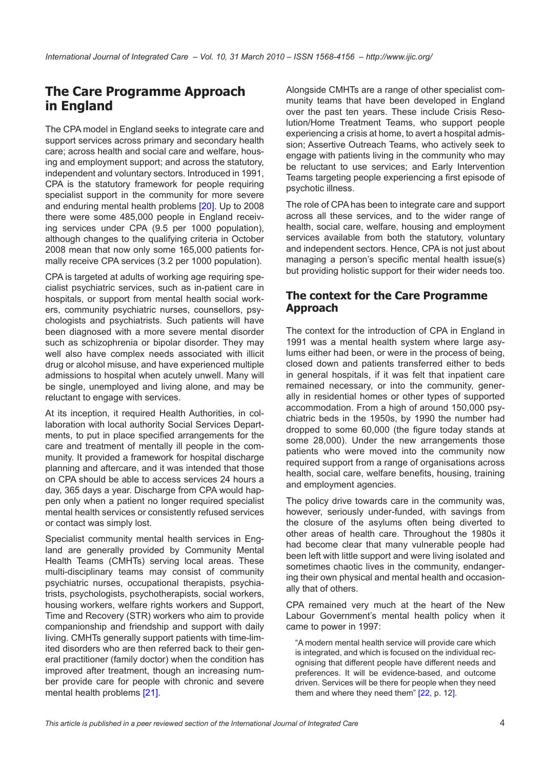# **The Care Programme Approach in England**

The CPA model in England seeks to integrate care and support services across primary and secondary health care; across health and social care and welfare, housing and employment support; and across the statutory, independent and voluntary sectors. Introduced in 1991, CPA is the statutory framework for people requiring specialist support in the community for more severe and enduring mental health problems [[20\]](#page-8-0). Up to 2008 there were some 485,000 people in England receiving services under CPA (9.5 per 1000 population), although changes to the qualifying criteria in October 2008 mean that now only some 165,000 patients formally receive CPA services (3.2 per 1000 population).

CPA is targeted at adults of working age requiring specialist psychiatric services, such as in-patient care in hospitals, or support from mental health social workers, community psychiatric nurses, counsellors, psychologists and psychiatrists. Such patients will have been diagnosed with a more severe mental disorder such as schizophrenia or bipolar disorder. They may well also have complex needs associated with illicit drug or alcohol misuse, and have experienced multiple admissions to hospital when acutely unwell. Many will be single, unemployed and living alone, and may be reluctant to engage with services.

At its inception, it required Health Authorities, in collaboration with local authority Social Services Departments, to put in place specified arrangements for the care and treatment of mentally ill people in the community. It provided a framework for hospital discharge planning and aftercare, and it was intended that those on CPA should be able to access services 24 hours a day, 365 days a year. Discharge from CPA would happen only when a patient no longer required specialist mental health services or consistently refused services or contact was simply lost.

Specialist community mental health services in England are generally provided by Community Mental Health Teams (CMHTs) serving local areas. These multi-disciplinary teams may consist of community psychiatric nurses, occupational therapists, psychiatrists, psychologists, psychotherapists, social workers, housing workers, welfare rights workers and Support, Time and Recovery (STR) workers who aim to provide companionship and friendship and support with daily living. CMHTs generally support patients with time-limited disorders who are then referred back to their general practitioner (family doctor) when the condition has improved after treatment, though an increasing number provide care for people with chronic and severe mental health problems [\[21](#page-8-0)].

Alongside CMHTs are a range of other specialist community teams that have been developed in England over the past ten years. These include Crisis Resolution/Home Treatment Teams, who support people experiencing a crisis at home, to avert a hospital admission; Assertive Outreach Teams, who actively seek to engage with patients living in the community who may be reluctant to use services; and Early Intervention Teams targeting people experiencing a first episode of psychotic illness.

The role of CPA has been to integrate care and support across all these services, and to the wider range of health, social care, welfare, housing and employment services available from both the statutory, voluntary and independent sectors. Hence, CPA is not just about managing a person's specific mental health issue(s) but providing holistic support for their wider needs too.

#### **The context for the Care Programme Approach**

The context for the introduction of CPA in England in 1991 was a mental health system where large asylums either had been, or were in the process of being, closed down and patients transferred either to beds in general hospitals, if it was felt that inpatient care remained necessary, or into the community, generally in residential homes or other types of supported accommodation. From a high of around 150,000 psychiatric beds in the 1950s, by 1990 the number had dropped to some 60,000 (the figure today stands at some 28,000). Under the new arrangements those patients who were moved into the community now required support from a range of organisations across health, social care, welfare benefits, housing, training and employment agencies.

The policy drive towards care in the community was, however, seriously under-funded, with savings from the closure of the asylums often being diverted to other areas of health care. Throughout the 1980s it had become clear that many vulnerable people had been left with little support and were living isolated and sometimes chaotic lives in the community, endangering their own physical and mental health and occasionally that of others.

CPA remained very much at the heart of the New Labour Government's mental health policy when it came to power in 1997:

"A modern mental health service will provide care which is integrated, and which is focused on the individual recognising that different people have different needs and preferences. It will be evidence-based, and outcome driven. Services will be there for people when they need them and where they need them" [\[22](#page-8-0), p. 12].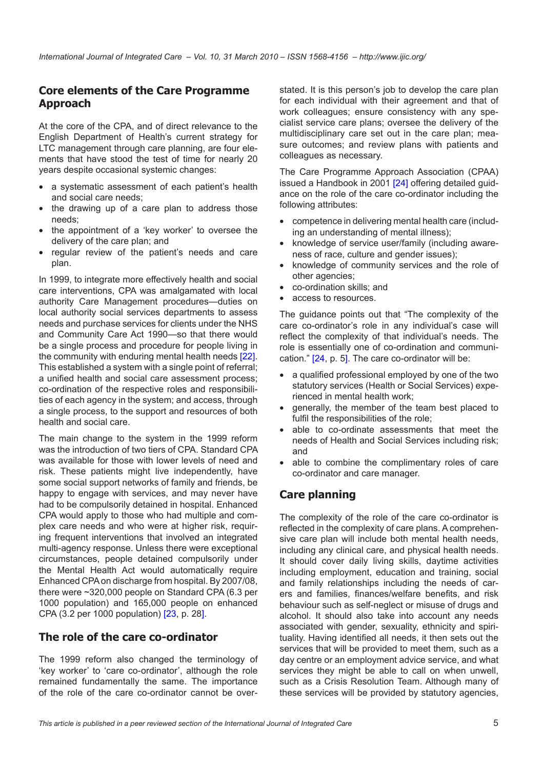#### **Core elements of the Care Programme Approach**

At the core of the CPA, and of direct relevance to the English Department of Health's current strategy for LTC management through care planning, are four elements that have stood the test of time for nearly 20 years despite occasional systemic changes:

- a systematic assessment of each patient's health and social care needs;
- the drawing up of a care plan to address those needs;
- the appointment of a 'key worker' to oversee the delivery of the care plan; and
- regular review of the patient's needs and care plan.

In 1999, to integrate more effectively health and social care interventions, CPA was amalgamated with local authority Care Management procedures—duties on local authority social services departments to assess needs and purchase services for clients under the NHS and Community Care Act 1990—so that there would be a single process and procedure for people living in the community with enduring mental health needs [\[22](#page-8-0)]. This established a system with a single point of referral; a unified health and social care assessment process; co-ordination of the respective roles and responsibilities of each agency in the system; and access, through a single process, to the support and resources of both health and social care.

The main change to the system in the 1999 reform was the introduction of two tiers of CPA. Standard CPA was available for those with lower levels of need and risk. These patients might live independently, have some social support networks of family and friends, be happy to engage with services, and may never have had to be compulsorily detained in hospital. Enhanced CPA would apply to those who had multiple and complex care needs and who were at higher risk, requiring frequent interventions that involved an integrated multi-agency response. Unless there were exceptional circumstances, people detained compulsorily under the Mental Health Act would automatically require Enhanced CPA on discharge from hospital. By 2007/08, there were ~320,000 people on Standard CPA (6.3 per 1000 population) and 165,000 people on enhanced CPA (3.2 per 1000 population) [[23,](#page-8-0) p. 28].

#### **The role of the care co-ordinator**

The 1999 reform also changed the terminology of 'key worker' to 'care co-ordinator', although the role remained fundamentally the same. The importance of the role of the care co-ordinator cannot be overstated. It is this person's job to develop the care plan for each individual with their agreement and that of work colleagues; ensure consistency with any specialist service care plans; oversee the delivery of the multidisciplinary care set out in the care plan; measure outcomes; and review plans with patients and colleagues as necessary.

The Care Programme Approach Association (CPAA) issued a Handbook in 2001 [[24](#page-8-0)] offering detailed guidance on the role of the care co-ordinator including the following attributes:

- competence in delivering mental health care (including an understanding of mental illness);
- knowledge of service user/family (including awareness of race, culture and gender issues);
- knowledge of community services and the role of other agencies;
- co-ordination skills; and
- access to resources.

The guidance points out that "The complexity of the care co-ordinator's role in any individual's case will reflect the complexity of that individual's needs. The role is essentially one of co-ordination and communication." [\[24,](#page-8-0) p. 5]. The care co-ordinator will be:

- a qualified professional employed by one of the two statutory services (Health or Social Services) experienced in mental health work;
- generally, the member of the team best placed to fulfil the responsibilities of the role;
- able to co-ordinate assessments that meet the needs of Health and Social Services including risk; and
- able to combine the complimentary roles of care co-ordinator and care manager.

#### **Care planning**

The complexity of the role of the care co-ordinator is reflected in the complexity of care plans. A comprehensive care plan will include both mental health needs, including any clinical care, and physical health needs. It should cover daily living skills, daytime activities including employment, education and training, social and family relationships including the needs of carers and families, finances/welfare benefits, and risk behaviour such as self-neglect or misuse of drugs and alcohol. It should also take into account any needs associated with gender, sexuality, ethnicity and spirituality. Having identified all needs, it then sets out the services that will be provided to meet them, such as a day centre or an employment advice service, and what services they might be able to call on when unwell, such as a Crisis Resolution Team. Although many of these services will be provided by statutory agencies,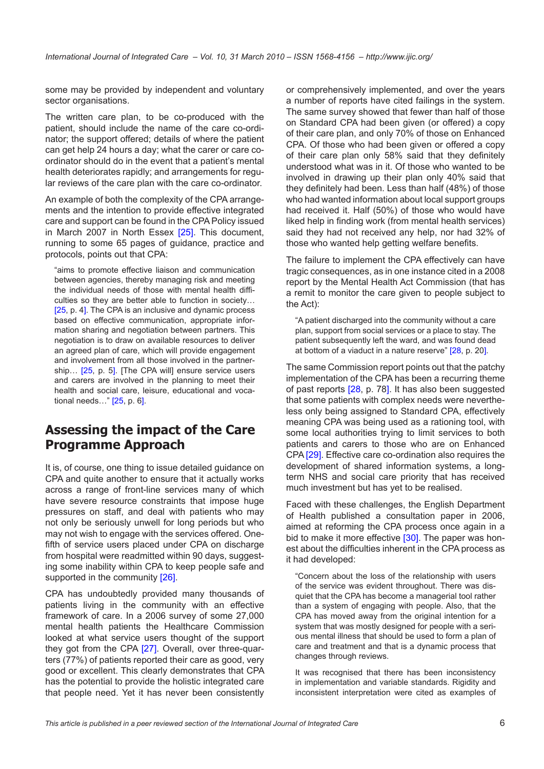some may be provided by independent and voluntary sector organisations.

The written care plan, to be co-produced with the patient, should include the name of the care co-ordinator; the support offered; details of where the patient can get help 24 hours a day; what the carer or care coordinator should do in the event that a patient's mental health deteriorates rapidly; and arrangements for regular reviews of the care plan with the care co-ordinator.

An example of both the complexity of the CPA arrangements and the intention to provide effective integrated care and support can be found in the CPA Policy issued in March 2007 in North Essex [[25\]](#page-8-0). This document, running to some 65 pages of guidance, practice and protocols, points out that CPA:

"aims to promote effective liaison and communication between agencies, thereby managing risk and meeting the individual needs of those with mental health difficulties so they are better able to function in society… [\[25](#page-8-0), p. 4]. The CPA is an inclusive and dynamic process based on effective communication, appropriate information sharing and negotiation between partners. This negotiation is to draw on available resources to deliver an agreed plan of care, which will provide engagement and involvement from all those involved in the partner-ship... [\[25](#page-8-0), p. 5]. [The CPA will] ensure service users and carers are involved in the planning to meet their health and social care, leisure, educational and vocational needs…" [\[25](#page-8-0), p. 6].

## **Assessing the impact of the Care Programme Approach**

It is, of course, one thing to issue detailed guidance on CPA and quite another to ensure that it actually works across a range of front-line services many of which have severe resource constraints that impose huge pressures on staff, and deal with patients who may not only be seriously unwell for long periods but who may not wish to engage with the services offered. Onefifth of service users placed under CPA on discharge from hospital were readmitted within 90 days, suggesting some inability within CPA to keep people safe and supported in the community [\[26](#page-8-0)].

CPA has undoubtedly provided many thousands of patients living in the community with an effective framework of care. In a 2006 survey of some 27,000 mental health patients the Healthcare Commission looked at what service users thought of the support they got from the CPA [[27\]](#page-8-0). Overall, over three-quarters (77%) of patients reported their care as good, very good or excellent. This clearly demonstrates that CPA has the potential to provide the holistic integrated care that people need. Yet it has never been consistently or comprehensively implemented, and over the years a number of reports have cited failings in the system. The same survey showed that fewer than half of those on Standard CPA had been given (or offered) a copy of their care plan, and only 70% of those on Enhanced CPA. Of those who had been given or offered a copy of their care plan only 58% said that they definitely understood what was in it. Of those who wanted to be involved in drawing up their plan only 40% said that they definitely had been. Less than half (48%) of those who had wanted information about local support groups had received it. Half (50%) of those who would have liked help in finding work (from mental health services) said they had not received any help, nor had 32% of those who wanted help getting welfare benefits.

The failure to implement the CPA effectively can have tragic consequences, as in one instance cited in a 2008 report by the Mental Health Act Commission (that has a remit to monitor the care given to people subject to the Act):

"A patient discharged into the community without a care plan, support from social services or a place to stay. The patient subsequently left the ward, and was found dead at bottom of a viaduct in a nature reserve" [[28,](#page-8-0) p. 20].

The same Commission report points out that the patchy implementation of the CPA has been a recurring theme of past reports [[28,](#page-8-0) p. 78]. It has also been suggested that some patients with complex needs were nevertheless only being assigned to Standard CPA, effectively meaning CPA was being used as a rationing tool, with some local authorities trying to limit services to both patients and carers to those who are on Enhanced CPA [[29\]](#page-8-0). Effective care co-ordination also requires the development of shared information systems, a longterm NHS and social care priority that has received much investment but has yet to be realised.

Faced with these challenges, the English Department of Health published a consultation paper in 2006, aimed at reforming the CPA process once again in a bid to make it more effective [\[30](#page-8-0)]. The paper was honest about the difficulties inherent in the CPA process as it had developed:

"Concern about the loss of the relationship with users of the service was evident throughout. There was disquiet that the CPA has become a managerial tool rather than a system of engaging with people. Also, that the CPA has moved away from the original intention for a system that was mostly designed for people with a serious mental illness that should be used to form a plan of care and treatment and that is a dynamic process that changes through reviews.

It was recognised that there has been inconsistency in implementation and variable standards. Rigidity and inconsistent interpretation were cited as examples of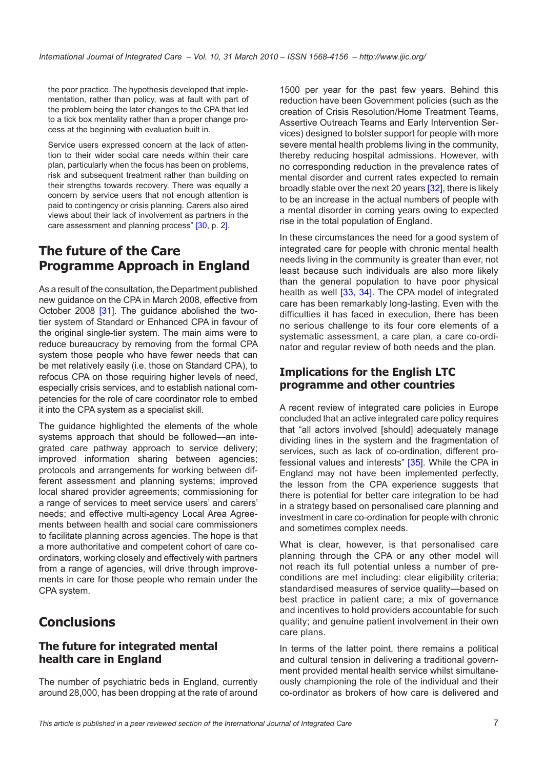the poor practice. The hypothesis developed that implementation, rather than policy, was at fault with part of the problem being the later changes to the CPA that led to a tick box mentality rather than a proper change process at the beginning with evaluation built in.

Service users expressed concern at the lack of attention to their wider social care needs within their care plan, particularly when the focus has been on problems, risk and subsequent treatment rather than building on their strengths towards recovery. There was equally a concern by service users that not enough attention is paid to contingency or crisis planning. Carers also aired views about their lack of involvement as partners in the care assessment and planning process" [[30,](#page-8-0) p. 2].

## **The future of the Care Programme Approach in England**

As a result of the consultation, the Department published new guidance on the CPA in March 2008, effective from October 2008 [\[31](#page-8-0)]. The guidance abolished the twotier system of Standard or Enhanced CPA in favour of the original single-tier system. The main aims were to reduce bureaucracy by removing from the formal CPA system those people who have fewer needs that can be met relatively easily (i.e. those on Standard CPA), to refocus CPA on those requiring higher levels of need, especially crisis services, and to establish national competencies for the role of care coordinator role to embed it into the CPA system as a specialist skill.

The guidance highlighted the elements of the whole systems approach that should be followed—an integrated care pathway approach to service delivery; improved information sharing between agencies; protocols and arrangements for working between different assessment and planning systems; improved local shared provider agreements; commissioning for a range of services to meet service users' and carers' needs; and effective multi-agency Local Area Agreements between health and social care commissioners to facilitate planning across agencies. The hope is that a more authoritative and competent cohort of care coordinators, working closely and effectively with partners from a range of agencies, will drive through improvements in care for those people who remain under the CPA system.

# **Conclusions**

#### **The future for integrated mental health care in England**

The number of psychiatric beds in England, currently around 28,000, has been dropping at the rate of around

1500 per year for the past few years. Behind this reduction have been Government policies (such as the creation of Crisis Resolution/Home Treatment Teams, Assertive Outreach Teams and Early Intervention Services) designed to bolster support for people with more severe mental health problems living in the community, thereby reducing hospital admissions. However, with no corresponding reduction in the prevalence rates of mental disorder and current rates expected to remain broadly stable over the next 20 years [[32\]](#page-8-0), there is likely to be an increase in the actual numbers of people with a mental disorder in coming years owing to expected rise in the total population of England.

In these circumstances the need for a good system of integrated care for people with chronic mental health needs living in the community is greater than ever, not least because such individuals are also more likely than the general population to have poor physical health as well [\[33,](#page-8-0) [34](#page-9-0)]. The CPA model of integrated care has been remarkably long-lasting. Even with the difficulties it has faced in execution, there has been no serious challenge to its four core elements of a systematic assessment, a care plan, a care co-ordinator and regular review of both needs and the plan.

#### **Implications for the English LTC programme and other countries**

A recent review of integrated care policies in Europe concluded that an active integrated care policy requires that "all actors involved [should] adequately manage dividing lines in the system and the fragmentation of services, such as lack of co-ordination, different professional values and interests" [\[35](#page-9-0)]. While the CPA in England may not have been implemented perfectly, the lesson from the CPA experience suggests that there is potential for better care integration to be had in a strategy based on personalised care planning and investment in care co-ordination for people with chronic and sometimes complex needs.

What is clear, however, is that personalised care planning through the CPA or any other model will not reach its full potential unless a number of preconditions are met including: clear eligibility criteria; standardised measures of service quality—based on best practice in patient care; a mix of governance and incentives to hold providers accountable for such quality; and genuine patient involvement in their own care plans.

In terms of the latter point, there remains a political and cultural tension in delivering a traditional government provided mental health service whilst simultaneously championing the role of the individual and their co-ordinator as brokers of how care is delivered and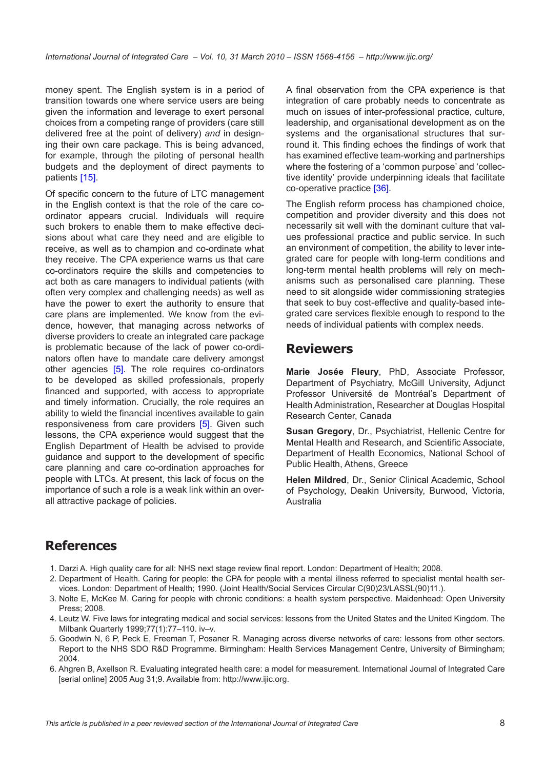<span id="page-7-0"></span>money spent. The English system is in a period of transition towards one where service users are being given the information and leverage to exert personal choices from a competing range of providers (care still delivered free at the point of delivery) *and* in designing their own care package. This is being advanced, for example, through the piloting of personal health budgets and the deployment of direct payments to patients [[15\]](#page-8-0).

Of specific concern to the future of LTC management in the English context is that the role of the care coordinator appears crucial. Individuals will require such brokers to enable them to make effective decisions about what care they need and are eligible to receive, as well as to champion and co-ordinate what they receive. The CPA experience warns us that care co-ordinators require the skills and competencies to act both as care managers to individual patients (with often very complex and challenging needs) as well as have the power to exert the authority to ensure that care plans are implemented. We know from the evidence, however, that managing across networks of diverse providers to create an integrated care package is problematic because of the lack of power co-ordinators often have to mandate care delivery amongst other agencies [5]. The role requires co-ordinators to be developed as skilled professionals, properly financed and supported, with access to appropriate and timely information. Crucially, the role requires an ability to wield the financial incentives available to gain responsiveness from care providers [5]. Given such lessons, the CPA experience would suggest that the English Department of Health be advised to provide guidance and support to the development of specific care planning and care co-ordination approaches for people with LTCs. At present, this lack of focus on the importance of such a role is a weak link within an overall attractive package of policies.

A final observation from the CPA experience is that integration of care probably needs to concentrate as much on issues of inter-professional practice, culture, leadership, and organisational development as on the systems and the organisational structures that surround it. This finding echoes the findings of work that has examined effective team-working and partnerships where the fostering of a 'common purpose' and 'collective identity' provide underpinning ideals that facilitate co-operative practice [[36\]](#page-9-0).

The English reform process has championed choice, competition and provider diversity and this does not necessarily sit well with the dominant culture that values professional practice and public service. In such an environment of competition, the ability to lever integrated care for people with long-term conditions and long-term mental health problems will rely on mechanisms such as personalised care planning. These need to sit alongside wider commissioning strategies that seek to buy cost-effective and quality-based integrated care services flexible enough to respond to the needs of individual patients with complex needs.

#### **Reviewers**

**Marie Josée Fleury**, PhD, Associate Professor, Department of Psychiatry, McGill University, Adjunct Professor Université de Montréal's Department of Health Administration, Researcher at Douglas Hospital Research Center, Canada

**Susan Gregory**, Dr., Psychiatrist, Hellenic Centre for Mental Health and Research, and Scientific Associate, Department of Health Economics, National School of Public Health, Athens, Greece

**Helen Mildred**, Dr., Senior Clinical Academic, School of Psychology, Deakin University, Burwood, Victoria, Australia

## **References**

- 1. Darzi A. High quality care for all: NHS next stage review final report. London: Department of Health; 2008.
- 2. Department of Health. Caring for people: the CPA for people with a mental illness referred to specialist mental health services. London: Department of Health; 1990. (Joint Health/Social Services Circular C(90)23/LASSL(90)11.).
- 3. Nolte E, McKee M. Caring for people with chronic conditions: a health system perspective. Maidenhead: Open University Press; 2008.
- 4. Leutz W. Five laws for integrating medical and social services: lessons from the United States and the United Kingdom. The Milbank Quarterly 1999;77(1):77–110. iv–v.
- 5. Goodwin N, 6 P, Peck E, Freeman T, Posaner R. Managing across diverse networks of care: lessons from other sectors. Report to the NHS SDO R&D Programme. Birmingham: Health Services Management Centre, University of Birmingham; 2004.
- 6. Ahgren B, Axellson R. Evaluating integrated health care: a model for measurement. International Journal of Integrated Care [serial online] 2005 Aug 31;9. Available from:<http://www.ijic.org>.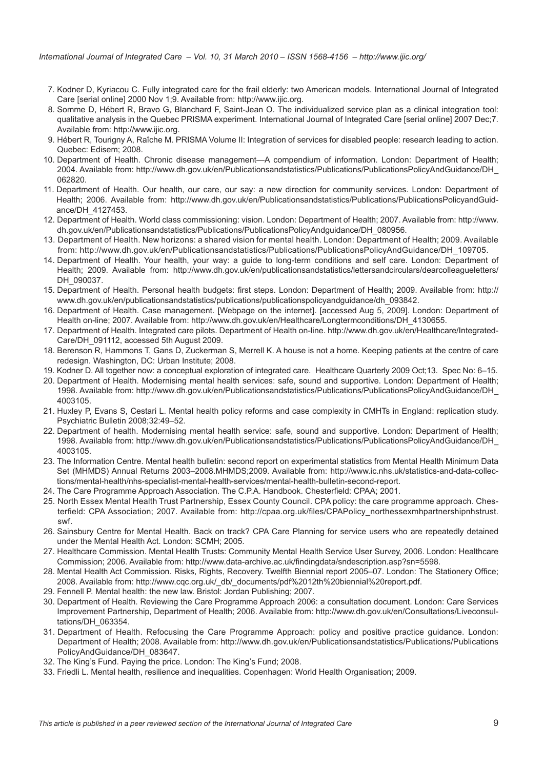- <span id="page-8-0"></span> 7. Kodner D, Kyriacou C. Fully integrated care for the frail elderly: two American models. International Journal of Integrated Care [serial online] 2000 Nov 1;9. Available from: [http://www.ijic.org.](http://www.ijic.org)
- 8. Somme D, Hébert R, Bravo G, Blanchard F, Saint-Jean O. The individualized service plan as a clinical integration tool: qualitative analysis in the Quebec PRISMA experiment. International Journal of Integrated Care [serial online] 2007 Dec;7. Available from:<http://www.ijic.org>.
- 9. Hébert R, Tourigny A, Raîche M. PRISMA Volume II: Integration of services for disabled people: research leading to action. Quebec: Edisem; 2008.
- 10. Department of Health. Chronic disease management—A compendium of information. London: Department of Health; 2004. Available from: [http://www.dh.gov.uk/en/Publicationsandstatistics/Publications/PublicationsPolicyAndGuidance/DH\\_](http://www.dh.gov.uk/en/Publicationsandstatistics/Publications/PublicationsPolicyAndGuidance/DH_062820) [062820.](http://www.dh.gov.uk/en/Publicationsandstatistics/Publications/PublicationsPolicyAndGuidance/DH_062820)
- 11. Department of Health. Our health, our care, our say: a new direction for community services. London: Department of Health; 2006. Available from: [http://www.dh.gov.uk/en/Publicationsandstatistics/Publications/PublicationsPolicyandGuid](http://www.dh.gov.uk/en/Publicationsandstatistics/Publications/PublicationsPolicyandGuidance/DH_4127453)[ance/DH\\_4127453.](http://www.dh.gov.uk/en/Publicationsandstatistics/Publications/PublicationsPolicyandGuidance/DH_4127453)
- 12. Department of Health. World class commissioning: vision. London: Department of Health; 2007. Available from: [http://www.](http://www.dh.gov.uk/en/Publicationsandstatistics/Publications/PublicationsPolicyAndguidance/DH_080956) [dh.gov.uk/en/Publicationsandstatistics/Publications/PublicationsPolicyAndguidance/DH\\_080956](http://www.dh.gov.uk/en/Publicationsandstatistics/Publications/PublicationsPolicyAndguidance/DH_080956).
- 13. Department of Health. New horizons: a shared vision for mental health. London: Department of Health; 2009. Available from: [http://www.dh.gov.uk/en/Publicationsandstatistics/Publications/PublicationsPolicyAndGuidance/DH\\_109705](http://www.dh.gov.uk/en/Publicationsandstatistics/Publications/PublicationsPolicyAndGuidance/DH_109705).
- 14. Department of Health. Your health, your way: a guide to long-term conditions and self care. London: Department of Health; 2009. Available from: [http://www.dh.gov.uk/en/publicationsandstatistics/lettersandcirculars/dearcolleagueletters/](http://www.dh.gov.uk/en/publicationsandstatistics/lettersandcirculars/dearcolleagueletters/DH_090037) [DH\\_090037.](http://www.dh.gov.uk/en/publicationsandstatistics/lettersandcirculars/dearcolleagueletters/DH_090037)
- 15. Department of Health. Personal health budgets: first steps. London: Department of Health; 2009. Available from: [http://](http://www.dh.gov.uk/en/publicationsandstatistics/publications/publicationspolicyandguidance/dh_093842) [www.dh.gov.uk/en/publicationsandstatistics/publications/publicationspolicyandguidance/dh\\_093842.](http://www.dh.gov.uk/en/publicationsandstatistics/publications/publicationspolicyandguidance/dh_093842)
- 16. Department of Health. Case management. [Webpage on the internet]. [accessed Aug 5, 2009]. London: Department of Health on-line; 2007. Available from: [http://www.dh.gov.uk/en/Healthcare/Longtermconditions/DH\\_4130655.](http://www.dh.gov.uk/en/Healthcare/Longtermconditions/DH_4130655)
- 17. Department of Health. Integrated care pilots. Department of Health on-line. [http://www.dh.gov.uk/en/Healthcare/Integrated-](http://www.dh.gov.uk/en/Healthcare/IntegratedCare/DH_091112)[Care/DH\\_091112](http://www.dh.gov.uk/en/Healthcare/IntegratedCare/DH_091112), accessed 5th August 2009.
- 18. Berenson R, Hammons T, Gans D, Zuckerman S, Merrell K. A house is not a home. Keeping patients at the centre of care redesign. Washington, DC: Urban Institute; 2008.
- 19. Kodner D. All together now: a conceptual exploration of integrated care. Healthcare Quarterly 2009 Oct;13. Spec No: 6–15.
- 20. Department of Health. Modernising mental health services: safe, sound and supportive. London: Department of Health; 1998. Available from: [http://www.dh.gov.uk/en/Publicationsandstatistics/Publications/PublicationsPolicyAndGuidance/DH\\_](http://www.dh.gov.uk/en/Publicationsandstatistics/Publications/PublicationsPolicyAndGuidance/DH_4003105) [4003105.](http://www.dh.gov.uk/en/Publicationsandstatistics/Publications/PublicationsPolicyAndGuidance/DH_4003105)
- 21. Huxley P, Evans S, Cestari L. Mental health policy reforms and case complexity in CMHTs in England: replication study. Psychiatric Bulletin 2008;32:49–52.
- 22. Department of health. Modernising mental health service: safe, sound and supportive. London: Department of Health; 1998. Available from: [http://www.dh.gov.uk/en/Publicationsandstatistics/Publications/PublicationsPolicyAndGuidance/DH\\_](http://www.dh.gov.uk/en/Publicationsandstatistics/Publications/PublicationsPolicyAndGuidance/DH_4003105) [4003105.](http://www.dh.gov.uk/en/Publicationsandstatistics/Publications/PublicationsPolicyAndGuidance/DH_4003105)
- 23. The Information Centre. Mental health bulletin: second report on experimental statistics from Mental Health Minimum Data Set (MHMDS) Annual Returns 2003–2008.MHMDS;2009. Available from: [http://www.ic.nhs.uk/statistics-and-data-collec](http://www.ic.nhs.uk/statistics-and-data-collections/mental-health/nhs-specialist-mental-health-services/mental-health-bulletin-second-report)[tions/mental-health/nhs-specialist-mental-health-services/mental-health-bulletin-second-report](http://www.ic.nhs.uk/statistics-and-data-collections/mental-health/nhs-specialist-mental-health-services/mental-health-bulletin-second-report).
- 24. The Care Programme Approach Association. The C.P.A. Handbook. Chesterfield: CPAA; 2001.
- 25. North Essex Mental Health Trust Partnership, Essex County Council. CPA policy: the care programme approach. Chesterfield: CPA Association; 2007. Available from: [http://cpaa.org.uk/files/CPAPolicy\\_northessexmhpartnershipnhstrust.](http://cpaa.org.uk/files/CPAPolicy_northessexmhpartnershipnhstrust.swf) [swf.](http://cpaa.org.uk/files/CPAPolicy_northessexmhpartnershipnhstrust.swf)
- 26. Sainsbury Centre for Mental Health. Back on track? CPA Care Planning for service users who are repeatedly detained under the Mental Health Act. London: SCMH; 2005.
- 27. Healthcare Commission. Mental Health Trusts: Community Mental Health Service User Survey, 2006. London: Healthcare Commission; 2006. Available from: [http://www.data-archive.ac.uk/findingdata/sndescription.asp?sn=559](http://www.data-archive.ac.uk/findingdata/sndescription.asp?sn=5598)8.
- 28. Mental Health Act Commission. Risks, Rights, Recovery. Twelfth Biennial report 2005–07. London: The Stationery Office; 2008. Available from: [http://www.cqc.org.uk/\\_db/\\_documents/pdf%2012th%20biennial%20report.pdf.](http://www.cqc.org.uk/_db/_documents/pdf%2012th%20biennial%20report.pdf)
- 29. Fennell P. Mental health: the new law. Bristol: Jordan Publishing; 2007.
- 30. Department of Health. Reviewing the Care Programme Approach 2006: a consultation document. London: Care Services Improvement Partnership, Department of Health; 2006. Available from: [http://www.dh.gov.uk/en/Consultations/Liveconsul](http://www.dh.gov.uk/en/Consultations/Liveconsultations/DH_063354)[tations/DH\\_063354.](http://www.dh.gov.uk/en/Consultations/Liveconsultations/DH_063354)
- 31. Department of Health. Refocusing the Care Programme Approach: policy and positive practice guidance. London: Department of Health; 2008. Available from: [http://www.dh.gov.uk/en/Publicationsandstatistics/Publications/Publications](http://www.dh.gov.uk/en/Publicationsandstatistics/Publications/PublicationsPolicyAndGuidance/DH_083647) [PolicyAndGuidance/DH\\_083647](http://www.dh.gov.uk/en/Publicationsandstatistics/Publications/PublicationsPolicyAndGuidance/DH_083647).
- 32. The King's Fund. Paying the price. London: The King's Fund; 2008.
- 33. Friedli L. Mental health, resilience and inequalities. Copenhagen: World Health Organisation; 2009.